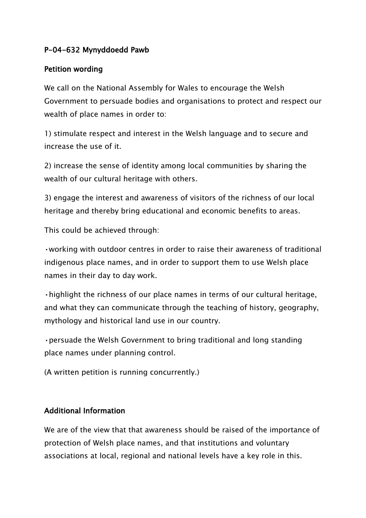## **P-04-632 Mynyddoedd Pawb**

## **Petition wording**

We call on the National Assembly for Wales to encourage the Welsh Government to persuade bodies and organisations to protect and respect our wealth of place names in order to:

1) stimulate respect and interest in the Welsh language and to secure and increase the use of it.

2) increase the sense of identity among local communities by sharing the wealth of our cultural heritage with others.

3) engage the interest and awareness of visitors of the richness of our local heritage and thereby bring educational and economic benefits to areas.

This could be achieved through:

•working with outdoor centres in order to raise their awareness of traditional indigenous place names, and in order to support them to use Welsh place names in their day to day work.

•highlight the richness of our place names in terms of our cultural heritage, and what they can communicate through the teaching of history, geography, mythology and historical land use in our country.

•persuade the Welsh Government to bring traditional and long standing place names under planning control.

(A written petition is running concurrently.)

## **Additional Information**

We are of the view that that awareness should be raised of the importance of protection of Welsh place names, and that institutions and voluntary associations at local, regional and national levels have a key role in this.